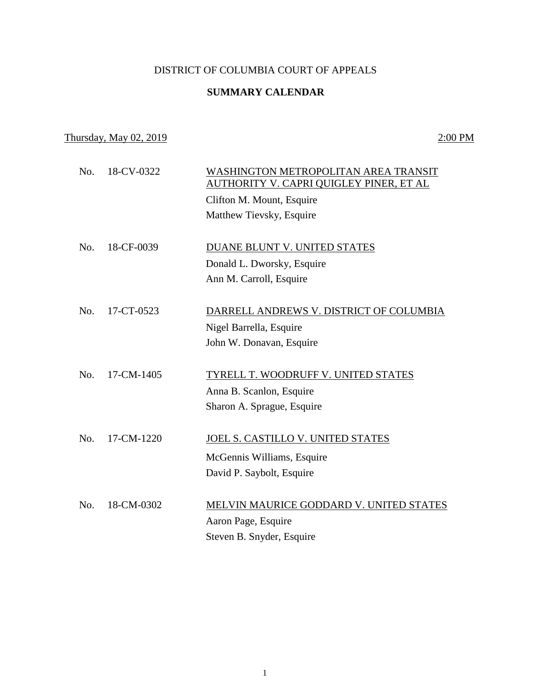## DISTRICT OF COLUMBIA COURT OF APPEALS

# **SUMMARY CALENDAR**

## Thursday, May 02, 2019 2:00 PM

No. 18-CV-0322 WASHINGTON METROPOLITAN AREA TRANSIT AUTHORITY V. CAPRI QUIGLEY PINER, ET AL Clifton M. Mount, Esquire Matthew Tievsky, Esquire No. 18-CF-0039 DUANE BLUNT V. UNITED STATES Donald L. Dworsky, Esquire Ann M. Carroll, Esquire No. 17-CT-0523 DARRELL ANDREWS V. DISTRICT OF COLUMBIA Nigel Barrella, Esquire John W. Donavan, Esquire No. 17-CM-1405 TYRELL T. WOODRUFF V. UNITED STATES Anna B. Scanlon, Esquire Sharon A. Sprague, Esquire No. 17-CM-1220 JOEL S. CASTILLO V. UNITED STATES McGennis Williams, Esquire David P. Saybolt, Esquire No. 18-CM-0302 MELVIN MAURICE GODDARD V. UNITED STATES Aaron Page, Esquire Steven B. Snyder, Esquire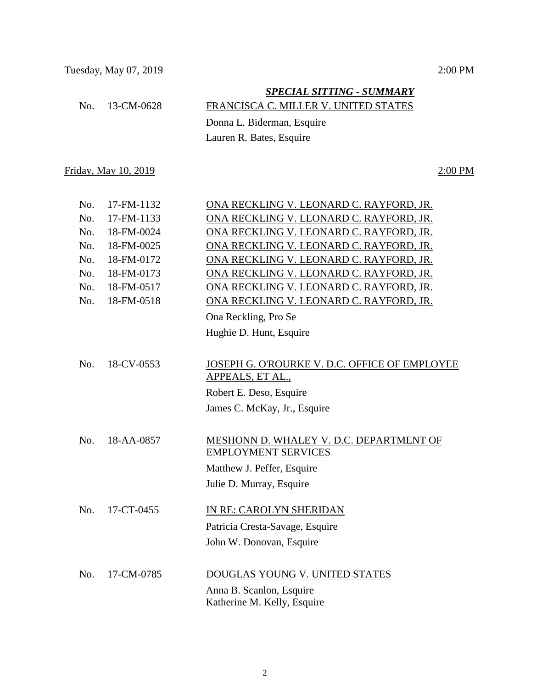|                | <b>SPECIAL SITTING - SUMMARY</b>     |
|----------------|--------------------------------------|
| No. 13-CM-0628 | FRANCISCA C. MILLER V. UNITED STATES |
|                | Donna L. Biderman, Esquire           |
|                | Lauren R. Bates, Esquire             |

Friday, May 10, 2019 2:00 PM

| No. | 17-FM-1132 | ONA RECKLING V. LEONARD C. RAYFORD, JR.       |
|-----|------------|-----------------------------------------------|
| No. | 17-FM-1133 | ONA RECKLING V. LEONARD C. RAYFORD, JR.       |
| No. | 18-FM-0024 | ONA RECKLING V. LEONARD C. RAYFORD, JR.       |
| No. | 18-FM-0025 | ONA RECKLING V. LEONARD C. RAYFORD, JR.       |
| No. | 18-FM-0172 | ONA RECKLING V. LEONARD C. RAYFORD, JR.       |
| No. | 18-FM-0173 | ONA RECKLING V. LEONARD C. RAYFORD, JR.       |
| No. | 18-FM-0517 | ONA RECKLING V. LEONARD C. RAYFORD, JR.       |
| No. | 18-FM-0518 | ONA RECKLING V. LEONARD C. RAYFORD, JR.       |
|     |            | Ona Reckling, Pro Se                          |
|     |            | Hughie D. Hunt, Esquire                       |
|     |            |                                               |
| No. | 18-CV-0553 | JOSEPH G. O'ROURKE V. D.C. OFFICE OF EMPLOYEE |
|     |            | APPEALS, ET AL.,                              |
|     |            | Robert E. Deso, Esquire                       |
|     |            | James C. McKay, Jr., Esquire                  |
|     |            |                                               |
| No. | 18-AA-0857 | MESHONN D. WHALEY V. D.C. DEPARTMENT OF       |
|     |            | <b>EMPLOYMENT SERVICES</b>                    |
|     |            | Matthew J. Peffer, Esquire                    |
|     |            | Julie D. Murray, Esquire                      |
|     |            |                                               |
| No. | 17-CT-0455 | IN RE: CAROLYN SHERIDAN                       |
|     |            | Patricia Cresta-Savage, Esquire               |
|     |            | John W. Donovan, Esquire                      |
|     |            |                                               |
| No. | 17-CM-0785 | DOUGLAS YOUNG V. UNITED STATES                |
|     |            | Anna B. Scanlon, Esquire                      |
|     |            | Katherine M. Kelly, Esquire                   |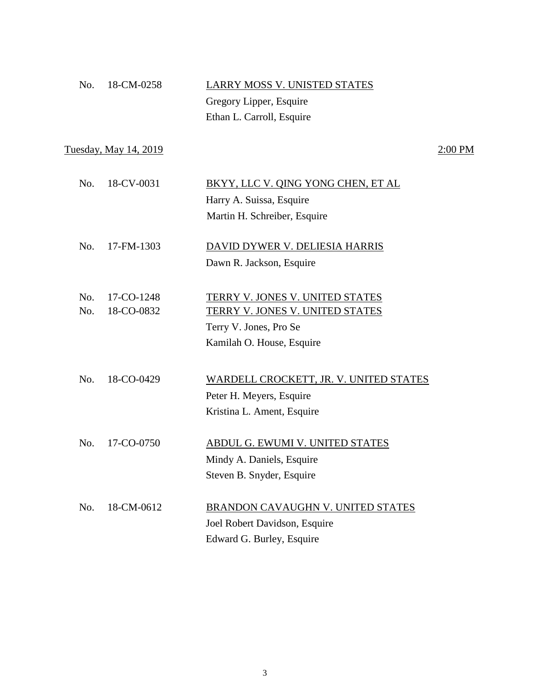| No. 18-CM-0258 | LARRY MOSS V. UNISTED STATES |
|----------------|------------------------------|
|                | Gregory Lipper, Esquire      |
|                | Ethan L. Carroll, Esquire    |

Tuesday, May 14, 2019 2:00 PM

| No. 18-CV-0031 | BKYY, LLC V. QING YONG CHEN, ET AL |
|----------------|------------------------------------|
|                | Harry A. Suissa, Esquire           |
|                | Martin H. Schreiber, Esquire       |
|                |                                    |

- No. 17-FM-1303 DAVID DYWER V. DELIESIA HARRIS Dawn R. Jackson, Esquire
- No. 17-CO-1248 TERRY V. JONES V. UNITED STATES No. 18-CO-0832 TERRY V. JONES V. UNITED STATES Terry V. Jones, Pro Se Kamilah O. House, Esquire
- No. 18-CO-0429 WARDELL CROCKETT, JR. V. UNITED STATES Peter H. Meyers, Esquire Kristina L. Ament, Esquire
- No. 17-CO-0750 ABDUL G. EWUMI V. UNITED STATES Mindy A. Daniels, Esquire Steven B. Snyder, Esquire
- No. 18-CM-0612 BRANDON CAVAUGHN V. UNITED STATES Joel Robert Davidson, Esquire Edward G. Burley, Esquire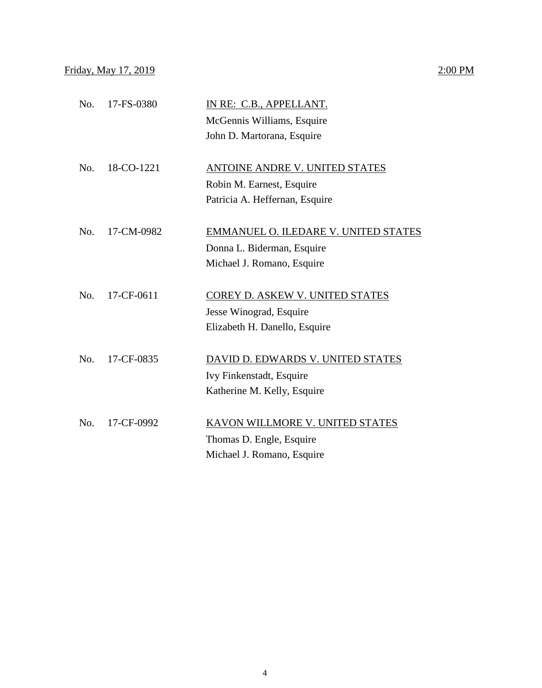| No. | 17-FS-0380 | IN RE: C.B., APPELLANT.<br>McGennis Williams, Esquire<br>John D. Martorana, Esquire           |
|-----|------------|-----------------------------------------------------------------------------------------------|
| No. | 18-CO-1221 | ANTOINE ANDRE V. UNITED STATES<br>Robin M. Earnest, Esquire<br>Patricia A. Heffernan, Esquire |

| No. 17-CM-0982 | EMMANUEL O. ILEDARE V. UNITED STATES |                            |
|----------------|--------------------------------------|----------------------------|
|                |                                      | Donna L. Biderman, Esquire |
|                |                                      | Michael J. Romano, Esquire |

| No. 17-CF-0611 | COREY D. ASKEW V. UNITED STATES |
|----------------|---------------------------------|
|                | Jesse Winograd, Esquire         |
|                | Elizabeth H. Danello, Esquire   |

- No. 17-CF-0835 DAVID D. EDWARDS V. UNITED STATES Ivy Finkenstadt, Esquire Katherine M. Kelly, Esquire
- No. 17-CF-0992 KAVON WILLMORE V. UNITED STATES Thomas D. Engle, Esquire Michael J. Romano, Esquire